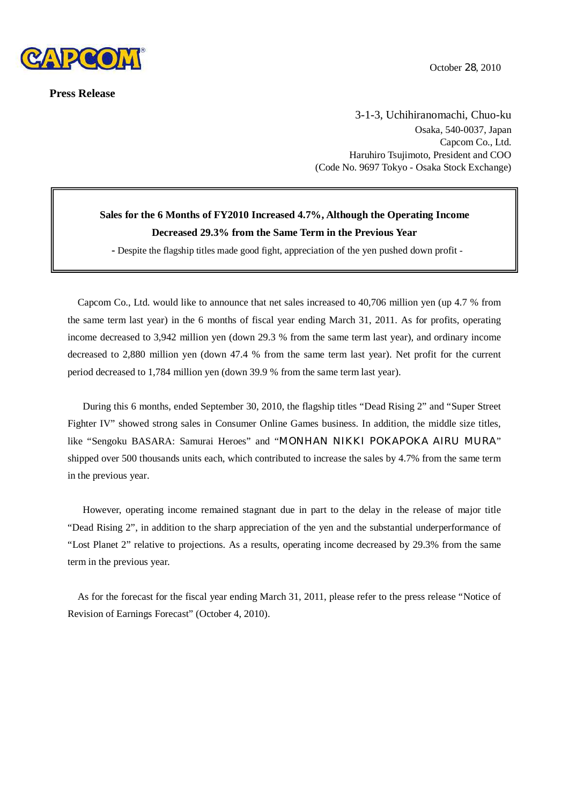

**Press Release**

3-1-3, Uchihiranomachi, Chuo-ku Osaka, 540-0037, Japan Capcom Co., Ltd. Haruhiro Tsujimoto, President and COO (Code No. 9697 Tokyo - Osaka Stock Exchange)

# **Sales for the 6 Months of FY2010 Increased 4.7%, Although the Operating Income Decreased 29.3% from the Same Term in the Previous Year**

**-** Despite the flagship titles made good fight, appreciation of the yen pushed down profit -

Capcom Co., Ltd. would like to announce that net sales increased to 40,706 million yen (up 4.7 % from the same term last year) in the 6 months of fiscal year ending March 31, 2011. As for profits, operating income decreased to 3,942 million yen (down 29.3 % from the same term last year), and ordinary income decreased to 2,880 million yen (down 47.4 % from the same term last year). Net profit for the current period decreased to 1,784 million yen (down 39.9 % from the same term last year).

During this 6 months, ended September 30, 2010, the flagship titles "Dead Rising 2" and "Super Street Fighter IV" showed strong sales in Consumer Online Games business. In addition, the middle size titles, like "Sengoku BASARA: Samurai Heroes" and "MONHAN NIKKI POKAPOKA AIRU MURA" shipped over 500 thousands units each, which contributed to increase the sales by 4.7% from the same term in the previous year.

However, operating income remained stagnant due in part to the delay in the release of major title "Dead Rising 2", in addition to the sharp appreciation of the yen and the substantial underperformance of "Lost Planet 2" relative to projections. As a results, operating income decreased by 29.3% from the same term in the previous year.

As for the forecast for the fiscal year ending March 31, 2011, please refer to the press release "Notice of Revision of Earnings Forecast" (October 4, 2010).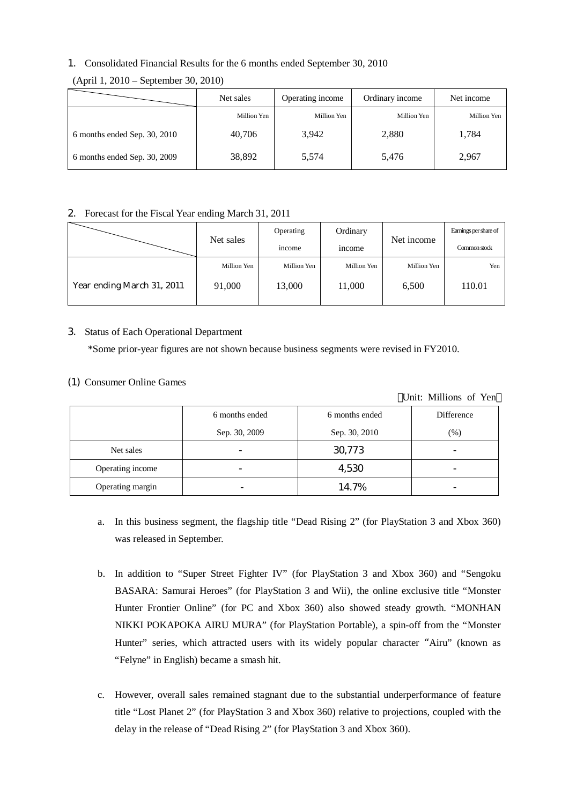## 1. Consolidated Financial Results for the 6 months ended September 30, 2010

|                              | Net sales   | Operating income | Ordinary income | Net income  |
|------------------------------|-------------|------------------|-----------------|-------------|
|                              | Million Yen | Million Yen      | Million Yen     | Million Yen |
| 6 months ended Sep. 30, 2010 | 40,706      | 3,942            | 2,880           | 1,784       |
| 6 months ended Sep. 30, 2009 | 38,892      | 5,574            | 5,476           | 2,967       |

(April 1, 2010 – September 30, 2010)

#### 2. Forecast for the Fiscal Year ending March 31, 2011

|                            | Net sales   | Operating   | Ordinary      | Net income  | Earnings per share of |
|----------------------------|-------------|-------------|---------------|-------------|-----------------------|
|                            |             | income      | <i>n</i> come |             | Common stock          |
|                            | Million Yen | Million Yen | Million Yen   | Million Yen | Yen                   |
| Year ending March 31, 2011 | 91,000      | 13,000      | 11,000        | 6,500       | 110.01                |

### 3. Status of Each Operational Department

\*Some prior-year figures are not shown because business segments were revised in FY2010.

### (1) Consumer Online Games

|                  |                |                | Unit: Millions of Yen |
|------------------|----------------|----------------|-----------------------|
|                  | 6 months ended | 6 months ended | Difference            |
|                  | Sep. 30, 2009  | Sep. 30, 2010  | $(\%)$                |
| Net sales        |                | 30,773         |                       |
| Operating income |                | 4,530          |                       |
| Operating margin |                | 14.7%          |                       |

- a. In this business segment, the flagship title "Dead Rising 2" (for PlayStation 3 and Xbox 360) was released in September.
- b. In addition to "Super Street Fighter IV" (for PlayStation 3 and Xbox 360) and "Sengoku BASARA: Samurai Heroes" (for PlayStation 3 and Wii), the online exclusive title "Monster Hunter Frontier Online" (for PC and Xbox 360) also showed steady growth. "MONHAN NIKKI POKAPOKA AIRU MURA" (for PlayStation Portable), a spin-off from the "Monster Hunter" series, which attracted users with its widely popular character "Airu" (known as "Felyne" in English) became a smash hit.
- c. However, overall sales remained stagnant due to the substantial underperformance of feature title "Lost Planet 2" (for PlayStation 3 and Xbox 360) relative to projections, coupled with the delay in the release of "Dead Rising 2" (for PlayStation 3 and Xbox 360).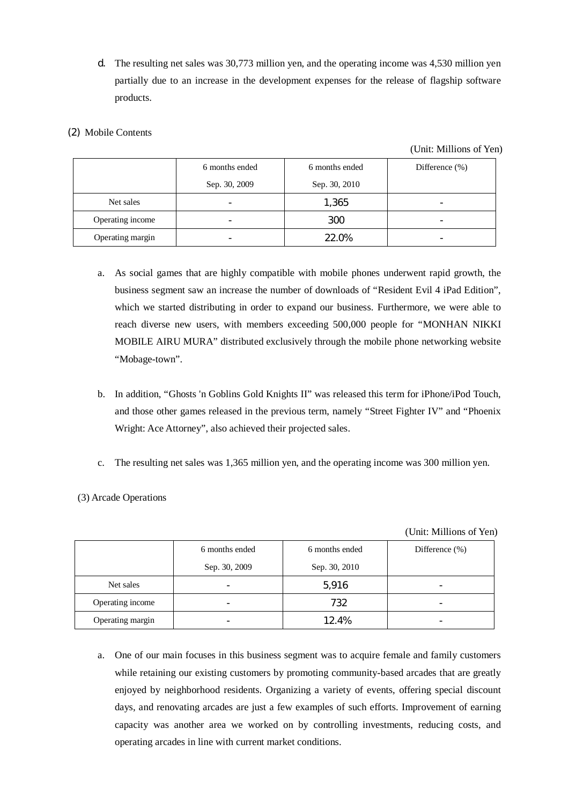d. The resulting net sales was 30,773 million yen, and the operating income was 4,530 million yen partially due to an increase in the development expenses for the release of flagship software products.

## (2) Mobile Contents

(Unit: Millions of Yen)

|                  | 6 months ended | 6 months ended | Difference $(\% )$ |
|------------------|----------------|----------------|--------------------|
|                  | Sep. 30, 2009  | Sep. 30, 2010  |                    |
| Net sales        |                | 1,365          | -                  |
| Operating income |                | 300            |                    |
| Operating margin |                | 22.0%          |                    |

- a. As social games that are highly compatible with mobile phones underwent rapid growth, the business segment saw an increase the number of downloads of "Resident Evil 4 iPad Edition", which we started distributing in order to expand our business. Furthermore, we were able to reach diverse new users, with members exceeding 500,000 people for "MONHAN NIKKI MOBILE AIRU MURA" distributed exclusively through the mobile phone networking website "Mobage-town".
- b. In addition, "Ghosts 'n Goblins Gold Knights II" was released this term for iPhone/iPod Touch, and those other games released in the previous term, namely "Street Fighter IV" and "Phoenix Wright: Ace Attorney", also achieved their projected sales.
- c. The resulting net sales was 1,365 million yen, and the operating income was 300 million yen.
- (3) Arcade Operations

(Unit: Millions of Yen)

|                  | 6 months ended | 6 months ended | Difference $(\%)$ |
|------------------|----------------|----------------|-------------------|
|                  | Sep. 30, 2009  | Sep. 30, 2010  |                   |
| Net sales        |                | 5,916          |                   |
| Operating income | -              | 732            |                   |
| Operating margin |                | 12.4%          |                   |

a. One of our main focuses in this business segment was to acquire female and family customers while retaining our existing customers by promoting community-based arcades that are greatly enjoyed by neighborhood residents. Organizing a variety of events, offering special discount days, and renovating arcades are just a few examples of such efforts. Improvement of earning capacity was another area we worked on by controlling investments, reducing costs, and operating arcades in line with current market conditions.